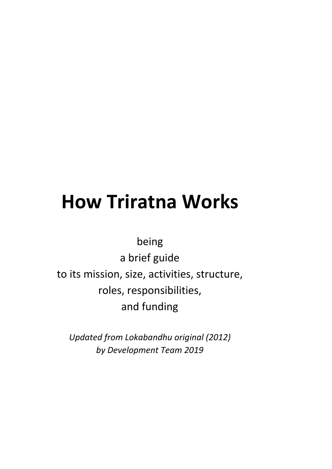# **How Triratna Works**

being

a brief guide to its mission, size, activities, structure, roles, responsibilities, and funding

*Updated from Lokabandhu original (2012) by Development Team 2019*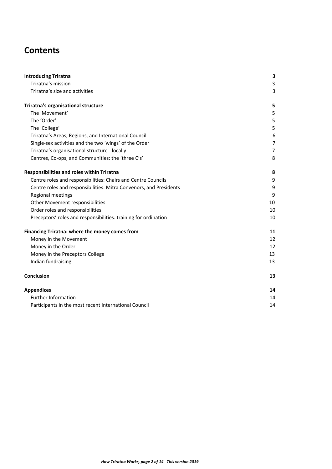# **Contents**

| Triratna's mission<br>3<br>Triratna's size and activities<br>3<br>5<br>The 'Movement'<br>5<br>The 'Order'<br>5<br>5<br>The 'College'<br>6<br>Triratna's Areas, Regions, and International Council<br>Single-sex activities and the two 'wings' of the Order<br>$\overline{7}$<br>$\overline{7}$<br>Triratna's organisational structure - locally<br>Centres, Co-ops, and Communities: the 'three C's'<br>8<br>8<br>9<br>Centre roles and responsibilities: Chairs and Centre Councils<br>Centre roles and responsibilities: Mitra Convenors, and Presidents<br>9<br>Regional meetings<br>9<br>Other Movement responsibilities<br>10<br>Order roles and responsibilities<br>10<br>Preceptors' roles and responsibilities: training for ordination<br>10<br>11<br>Money in the Movement<br>12<br>Money in the Order<br>12<br>Money in the Preceptors College<br>13<br>Indian fundraising<br>13<br>13<br>14<br><b>Further Information</b><br>14<br>Participants in the most recent International Council<br>14 | <b>Introducing Triratna</b>                       | 3 |
|-------------------------------------------------------------------------------------------------------------------------------------------------------------------------------------------------------------------------------------------------------------------------------------------------------------------------------------------------------------------------------------------------------------------------------------------------------------------------------------------------------------------------------------------------------------------------------------------------------------------------------------------------------------------------------------------------------------------------------------------------------------------------------------------------------------------------------------------------------------------------------------------------------------------------------------------------------------------------------------------------------------|---------------------------------------------------|---|
|                                                                                                                                                                                                                                                                                                                                                                                                                                                                                                                                                                                                                                                                                                                                                                                                                                                                                                                                                                                                             |                                                   |   |
|                                                                                                                                                                                                                                                                                                                                                                                                                                                                                                                                                                                                                                                                                                                                                                                                                                                                                                                                                                                                             |                                                   |   |
|                                                                                                                                                                                                                                                                                                                                                                                                                                                                                                                                                                                                                                                                                                                                                                                                                                                                                                                                                                                                             | Triratna's organisational structure               |   |
|                                                                                                                                                                                                                                                                                                                                                                                                                                                                                                                                                                                                                                                                                                                                                                                                                                                                                                                                                                                                             |                                                   |   |
|                                                                                                                                                                                                                                                                                                                                                                                                                                                                                                                                                                                                                                                                                                                                                                                                                                                                                                                                                                                                             |                                                   |   |
|                                                                                                                                                                                                                                                                                                                                                                                                                                                                                                                                                                                                                                                                                                                                                                                                                                                                                                                                                                                                             |                                                   |   |
|                                                                                                                                                                                                                                                                                                                                                                                                                                                                                                                                                                                                                                                                                                                                                                                                                                                                                                                                                                                                             |                                                   |   |
|                                                                                                                                                                                                                                                                                                                                                                                                                                                                                                                                                                                                                                                                                                                                                                                                                                                                                                                                                                                                             |                                                   |   |
|                                                                                                                                                                                                                                                                                                                                                                                                                                                                                                                                                                                                                                                                                                                                                                                                                                                                                                                                                                                                             |                                                   |   |
|                                                                                                                                                                                                                                                                                                                                                                                                                                                                                                                                                                                                                                                                                                                                                                                                                                                                                                                                                                                                             |                                                   |   |
|                                                                                                                                                                                                                                                                                                                                                                                                                                                                                                                                                                                                                                                                                                                                                                                                                                                                                                                                                                                                             | <b>Responsibilities and roles within Triratna</b> |   |
|                                                                                                                                                                                                                                                                                                                                                                                                                                                                                                                                                                                                                                                                                                                                                                                                                                                                                                                                                                                                             |                                                   |   |
|                                                                                                                                                                                                                                                                                                                                                                                                                                                                                                                                                                                                                                                                                                                                                                                                                                                                                                                                                                                                             |                                                   |   |
|                                                                                                                                                                                                                                                                                                                                                                                                                                                                                                                                                                                                                                                                                                                                                                                                                                                                                                                                                                                                             |                                                   |   |
|                                                                                                                                                                                                                                                                                                                                                                                                                                                                                                                                                                                                                                                                                                                                                                                                                                                                                                                                                                                                             |                                                   |   |
|                                                                                                                                                                                                                                                                                                                                                                                                                                                                                                                                                                                                                                                                                                                                                                                                                                                                                                                                                                                                             |                                                   |   |
|                                                                                                                                                                                                                                                                                                                                                                                                                                                                                                                                                                                                                                                                                                                                                                                                                                                                                                                                                                                                             |                                                   |   |
|                                                                                                                                                                                                                                                                                                                                                                                                                                                                                                                                                                                                                                                                                                                                                                                                                                                                                                                                                                                                             | Financing Triratna: where the money comes from    |   |
|                                                                                                                                                                                                                                                                                                                                                                                                                                                                                                                                                                                                                                                                                                                                                                                                                                                                                                                                                                                                             |                                                   |   |
|                                                                                                                                                                                                                                                                                                                                                                                                                                                                                                                                                                                                                                                                                                                                                                                                                                                                                                                                                                                                             |                                                   |   |
|                                                                                                                                                                                                                                                                                                                                                                                                                                                                                                                                                                                                                                                                                                                                                                                                                                                                                                                                                                                                             |                                                   |   |
|                                                                                                                                                                                                                                                                                                                                                                                                                                                                                                                                                                                                                                                                                                                                                                                                                                                                                                                                                                                                             |                                                   |   |
|                                                                                                                                                                                                                                                                                                                                                                                                                                                                                                                                                                                                                                                                                                                                                                                                                                                                                                                                                                                                             | Conclusion                                        |   |
|                                                                                                                                                                                                                                                                                                                                                                                                                                                                                                                                                                                                                                                                                                                                                                                                                                                                                                                                                                                                             | <b>Appendices</b>                                 |   |
|                                                                                                                                                                                                                                                                                                                                                                                                                                                                                                                                                                                                                                                                                                                                                                                                                                                                                                                                                                                                             |                                                   |   |
|                                                                                                                                                                                                                                                                                                                                                                                                                                                                                                                                                                                                                                                                                                                                                                                                                                                                                                                                                                                                             |                                                   |   |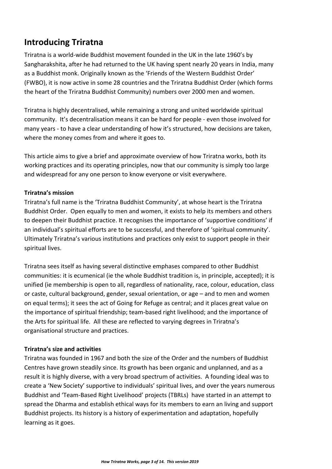## <span id="page-2-0"></span>**Introducing Triratna**

Triratna is a world-wide Buddhist movement founded in the UK in the late 1960's by Sangharakshita, after he had returned to the UK having spent nearly 20 years in India, many as a Buddhist monk. Originally known as the 'Friends of the Western Buddhist Order' (FWBO), it is now active in some 28 countries and the Triratna Buddhist Order (which forms the heart of the Triratna Buddhist Community) numbers over 2000 men and women.

Triratna is highly decentralised, while remaining a strong and united worldwide spiritual community. It's decentralisation means it can be hard for people - even those involved for many years - to have a clear understanding of how it's structured, how decisions are taken, where the money comes from and where it goes to.

This article aims to give a brief and approximate overview of how Triratna works, both its working practices and its operating principles, now that our community is simply too large and widespread for any one person to know everyone or visit everywhere.

#### <span id="page-2-1"></span>**Triratna's mission**

Triratna's full name is the 'Triratna Buddhist Community', at whose heart is the Triratna Buddhist Order. Open equally to men and women, it exists to help its members and others to deepen their Buddhist practice. It recognises the importance of 'supportive conditions' if an individual's spiritual efforts are to be successful, and therefore of 'spiritual community'. Ultimately Triratna's various institutions and practices only exist to support people in their spiritual lives.

Triratna sees itself as having several distinctive emphases compared to other Buddhist communities: it is ecumenical (ie the whole Buddhist tradition is, in principle, accepted); it is unified (ie membership is open to all, regardless of nationality, race, colour, education, class or caste, cultural background, gender, sexual orientation, or age – and to men and women on equal terms); it sees the act of Going for Refuge as central; and it places great value on the importance of spiritual friendship; team-based right livelihood; and the importance of the Arts for spiritual life. All these are reflected to varying degrees in Triratna's organisational structure and practices.

#### <span id="page-2-2"></span>**Triratna's size and activities**

Triratna was founded in 1967 and both the size of the Order and the numbers of Buddhist Centres have grown steadily since. Its growth has been organic and unplanned, and as a result it is highly diverse, with a very broad spectrum of activities. A founding ideal was to create a 'New Society' supportive to individuals' spiritual lives, and over the years numerous Buddhist and 'Team-Based Right Livelihood' projects (TBRLs) have started in an attempt to spread the Dharma and establish ethical ways for its members to earn an living and support Buddhist projects. Its history is a history of experimentation and adaptation, hopefully learning as it goes.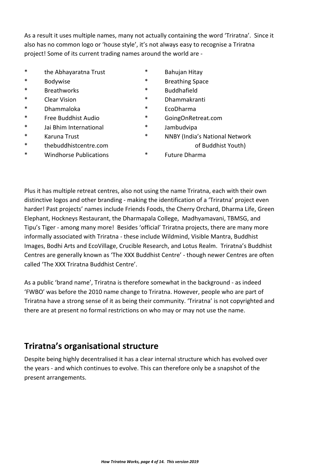As a result it uses multiple names, many not actually containing the word 'Triratna'. Since it also has no common logo or 'house style', it's not always easy to recognise a Triratna project! Some of its current trading names around the world are -

- \* the Abhayaratna Trust \* Bahujan Hitay
- 
- \* Breathworks \* Buddhafield
- 
- \* Dhammaloka \* EcoDharma
- \* Free Buddhist Audio \* [GoingOnRetreat.com](http://goingonretreat.com/)
- \* Jai Bhim International \* Jambudvipa
- 
- 
- \* Windhorse Publications \* Future Dharma
- 
- \* Bodywise \* Breathing Space
	-
- \* Clear Vision \* Dhammakranti
	-
	-
	-
- \* Karuna Trust \* NNBY (India's National Network \* [thebuddhistcentre.com](http://thebuddhistcentre.com/) of Buddhist Youth)
	-

Plus it has multiple retreat centres, also not using the name Triratna, each with their own distinctive logos and other branding - making the identification of a 'Triratna' project even harder! Past projects' names include Friends Foods, the Cherry Orchard, Dharma Life, Green Elephant, Hockneys Restaurant, the Dharmapala College, Madhyamavani, TBMSG, and Tipu's Tiger - among many more! Besides 'official' Triratna projects, there are many more informally associated with Triratna - these include Wildmind, Visible Mantra, Buddhist Images, Bodhi Arts and EcoVillage, Crucible Research, and Lotus Realm. Triratna's Buddhist Centres are generally known as 'The XXX Buddhist Centre' - though newer Centres are often called 'The XXX Triratna Buddhist Centre'.

As a public 'brand name', Triratna is therefore somewhat in the background - as indeed 'FWBO' was before the 2010 name change to Triratna. However, people who are part of Triratna have a strong sense of it as being their community. 'Triratna' is not copyrighted and there are at present no formal restrictions on who may or may not use the name.

## <span id="page-3-0"></span>**Triratna's organisational structure**

Despite being highly decentralised it has a clear internal structure which has evolved over the years - and which continues to evolve. This can therefore only be a snapshot of the present arrangements.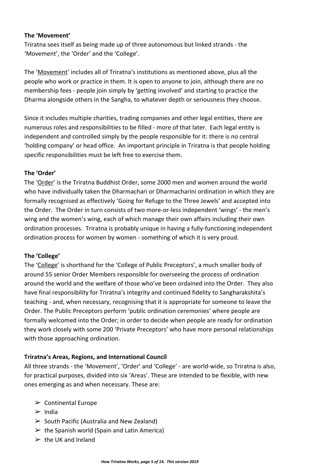#### <span id="page-4-0"></span>**The 'Movement'**

Triratna sees itself as being made up of three autonomous but linked strands - the 'Movement', the 'Order' and the 'College'.

The 'Movement' includes all of Triratna's institutions as mentioned above, plus all the people who work or practice in them. It is open to anyone to join, although there are no membership fees - people join simply by 'getting involved' and starting to practice the Dharma alongside others in the Sangha, to whatever depth or seriousness they choose.

Since it includes multiple charities, trading companies and other legal entities, there are numerous roles and responsibilities to be filled - more of that later. Each legal entity is independent and controlled simply by the people responsible for it: there is no central 'holding company' or head office. An important principle in Triratna is that people holding specific responsibilities must be left free to exercise them.

#### <span id="page-4-1"></span>**The 'Order'**

The 'Order' is the Triratna Buddhist Order, some 2000 men and women around the world who have individually taken the Dharmachari or Dharmacharini ordination in which they are formally recognised as effectively 'Going for Refuge to the Three Jewels' and accepted into the Order. The Order in turn consists of two more-or-less independent 'wings' - the men's wing and the women's wing, each of which manage their own affairs including their own ordination processes. Triratna is probably unique in having a fully-functioning independent ordination process for women by women - something of which it is very proud.

#### <span id="page-4-2"></span>**The 'College'**

The 'College' is shorthand for the 'College of Public Preceptors', a much smaller body of around 55 senior Order Members responsible for overseeing the process of ordination around the world and the welfare of those who've been ordained into the Order. They also have final responsibility for Triratna's integrity and continued fidelity to Sangharakshita's teaching - and, when necessary, recognising that it is appropriate for someone to leave the Order. The Public Preceptors perform 'public ordination ceremonies' where people are formally welcomed into the Order; in order to decide when people are ready for ordination they work closely with some 200 'Private Preceptors' who have more personal relationships with those approaching ordination.

#### <span id="page-4-3"></span>**Triratna's Areas, Regions, and International Council**

All three strands - the 'Movement', 'Order' and 'College' - are world-wide, so Triratna is also, for practical purposes, divided into six 'Areas'. These are intended to be flexible, with new ones emerging as and when necessary. These are:

- $\triangleright$  Continental Europe
- $\triangleright$  India
- $\triangleright$  South Pacific (Australia and New Zealand)
- $\triangleright$  the Spanish world (Spain and Latin America)
- $\triangleright$  the UK and Ireland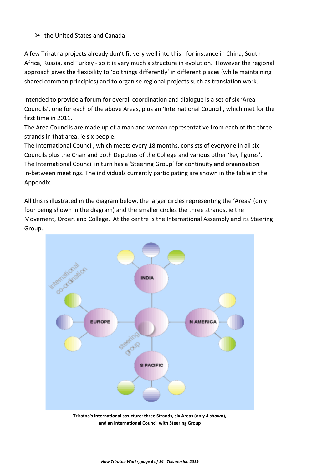#### $\triangleright$  the United States and Canada

A few Triratna projects already don't fit very well into this - for instance in China, South Africa, Russia, and Turkey - so it is very much a structure in evolution. However the regional approach gives the flexibility to 'do things differently' in different places (while maintaining shared common principles) and to organise regional projects such as translation work.

Intended to provide a forum for overall coordination and dialogue is a set of six 'Area Councils', one for each of the above Areas, plus an 'International Council', which met for the first time in 2011.

The Area Councils are made up of a man and woman representative from each of the three strands in that area, ie six people.

The International Council, which meets every 18 months, consists of everyone in all six Councils plus the Chair and both Deputies of the College and various other 'key figures'. The International Council in turn has a 'Steering Group' for continuity and organisation in-between meetings. The individuals currently participating are shown in the table in the Appendix.

All this is illustrated in the diagram below, the larger circles representing the 'Areas' (only four being shown in the diagram) and the smaller circles the three strands, ie the Movement, Order, and College. At the centre is the International Assembly and its Steering Group.



**Triratna's international structure: three Strands, six Areas (only 4 shown), and an International Council with Steering Group**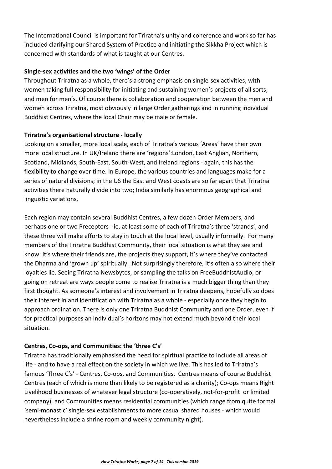The International Council is important for Triratna's unity and coherence and work so far has included clarifying our Shared System of Practice and initiating the Sikkha Project which is concerned with standards of what is taught at our Centres.

#### <span id="page-6-0"></span>**Single-sex activities and the two 'wings' of the Order**

Throughout Triratna as a whole, there's a strong emphasis on single-sex activities, with women taking full responsibility for initiating and sustaining women's projects of all sorts; and men for men's. Of course there is collaboration and cooperation between the men and women across Triratna, most obviously in large Order gatherings and in running individual Buddhist Centres, where the local Chair may be male or female.

#### <span id="page-6-1"></span>**Triratna's organisational structure - locally**

Looking on a smaller, more local scale, each of Triratna's various 'Areas' have their own more local structure. In UK/Ireland there are 'regions':London, East Anglian, Northern, Scotland, Midlands, South-East, South-West, and Ireland regions - again, this has the flexibility to change over time. In Europe, the various countries and languages make for a series of natural divisions; in the US the East and West coasts are so far apart that Triratna activities there naturally divide into two; India similarly has enormous geographical and linguistic variations.

Each region may contain several Buddhist Centres, a few dozen Order Members, and perhaps one or two Preceptors - ie, at least some of each of Triratna's three 'strands', and these three will make efforts to stay in touch at the local level, usually informally. For many members of the Triratna Buddhist Community, their local situation is what they see and know: it's where their friends are, the projects they support, it's where they've contacted the Dharma and 'grown up' spiritually. Not surprisingly therefore, it's often also where their loyalties lie. Seeing Triratna Newsbytes, or sampling the talks on FreeBuddhistAudio, or going on retreat are ways people come to realise Triratna is a much bigger thing than they first thought. As someone's interest and involvement in Triratna deepens, hopefully so does their interest in and identification with Triratna as a whole - especially once they begin to approach ordination. There is only one Triratna Buddhist Community and one Order, even if for practical purposes an individual's horizons may not extend much beyond their local situation.

#### <span id="page-6-2"></span>**Centres, Co-ops, and Communities: the 'three C's'**

Triratna has traditionally emphasised the need for spiritual practice to include all areas of life - and to have a real effect on the society in which we live. This has led to Triratna's famous 'Three C's' - Centres, Co-ops, and Communities. Centres means of course Buddhist Centres (each of which is more than likely to be registered as a charity); Co-ops means Right Livelihood businesses of whatever legal structure (co-operatively, not-for-profit or limited company), and Communities means residential communities (which range from quite formal 'semi-monastic' single-sex establishments to more casual shared houses - which would nevertheless include a shrine room and weekly community night).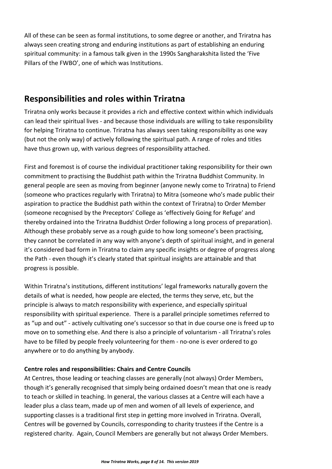All of these can be seen as formal institutions, to some degree or another, and Triratna has always seen creating strong and enduring institutions as part of establishing an enduring spiritual community: in a famous talk given in the 1990s Sangharakshita listed the 'Five Pillars of the FWBO', one of which was Institutions.

### <span id="page-7-0"></span>**Responsibilities and roles within Triratna**

Triratna only works because it provides a rich and effective context within which individuals can lead their spiritual lives - and because those individuals are willing to take responsibility for helping Triratna to continue. Triratna has always seen taking responsibility as one way (but not the only way) of actively following the spiritual path. A range of roles and titles have thus grown up, with various degrees of responsibility attached.

First and foremost is of course the individual practitioner taking responsibility for their own commitment to practising the Buddhist path within the Triratna Buddhist Community. In general people are seen as moving from beginner (anyone newly come to Triratna) to Friend (someone who practices regularly with Triratna) to Mitra (someone who's made public their aspiration to practice the Buddhist path within the context of Triratna) to Order Member (someone recognised by the Preceptors' College as 'effectively Going for Refuge' and thereby ordained into the Triratna Buddhist Order following a long process of preparation). Although these probably serve as a rough guide to how long someone's been practising, they cannot be correlated in any way with anyone's depth of spiritual insight, and in general it's considered bad form in Triratna to claim any specific insights or degree of progress along the Path - even though it's clearly stated that spiritual insights are attainable and that progress is possible.

Within Triratna's institutions, different institutions' legal frameworks naturally govern the details of what is needed, how people are elected, the terms they serve, etc, but the principle is always to match responsibility with experience, and especially spiritual responsibility with spiritual experience. There is a parallel principle sometimes referred to as "up and out" - actively cultivating one's successor so that in due course one is freed up to move on to something else. And there is also a principle of voluntarism - all Triratna's roles have to be filled by people freely volunteering for them - no-one is ever ordered to go anywhere or to do anything by anybody.

#### <span id="page-7-1"></span>**Centre roles and responsibilities: Chairs and Centre Councils**

At Centres, those leading or teaching classes are generally (not always) Order Members, though it's generally recognised that simply being ordained doesn't mean that one is ready to teach or skilled in teaching. In general, the various classes at a Centre will each have a leader plus a class team, made up of men and women of all levels of experience, and supporting classes is a traditional first step in getting more involved in Triratna. Overall, Centres will be governed by Councils, corresponding to charity trustees if the Centre is a registered charity. Again, Council Members are generally but not always Order Members.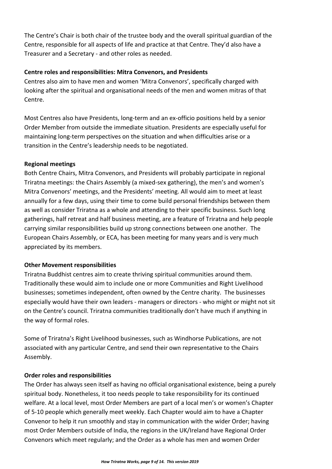The Centre's Chair is both chair of the trustee body and the overall spiritual guardian of the Centre, responsible for all aspects of life and practice at that Centre. They'd also have a Treasurer and a Secretary - and other roles as needed.

#### <span id="page-8-0"></span>**Centre roles and responsibilities: Mitra Convenors, and Presidents**

Centres also aim to have men and women 'Mitra Convenors', specifically charged with looking after the spiritual and organisational needs of the men and women mitras of that Centre.

Most Centres also have Presidents, long-term and an ex-officio positions held by a senior Order Member from outside the immediate situation. Presidents are especially useful for maintaining long-term perspectives on the situation and when difficulties arise or a transition in the Centre's leadership needs to be negotiated.

#### <span id="page-8-1"></span>**Regional meetings**

Both Centre Chairs, Mitra Convenors, and Presidents will probably participate in regional Triratna meetings: the Chairs Assembly (a mixed-sex gathering), the men's and women's Mitra Convenors' meetings, and the Presidents' meeting. All would aim to meet at least annually for a few days, using their time to come build personal friendships between them as well as consider Triratna as a whole and attending to their specific business. Such long gatherings, half retreat and half business meeting, are a feature of Triratna and help people carrying similar responsibilities build up strong connections between one another. The European Chairs Assembly, or ECA, has been meeting for many years and is very much appreciated by its members.

#### <span id="page-8-2"></span>**Other Movement responsibilities**

Triratna Buddhist centres aim to create thriving spiritual communities around them. Traditionally these would aim to include one or more Communities and Right Livelihood businesses; sometimes independent, often owned by the Centre charity. The businesses especially would have their own leaders - managers or directors - who might or might not sit on the Centre's council. Triratna communities traditionally don't have much if anything in the way of formal roles.

Some of Triratna's Right Livelihood businesses, such as Windhorse Publications, are not associated with any particular Centre, and send their own representative to the Chairs Assembly.

#### <span id="page-8-3"></span>**Order roles and responsibilities**

The Order has always seen itself as having no official organisational existence, being a purely spiritual body. Nonetheless, it too needs people to take responsibility for its continued welfare. At a local level, most Order Members are part of a local men's or women's Chapter of 5-10 people which generally meet weekly. Each Chapter would aim to have a Chapter Convenor to help it run smoothly and stay in communication with the wider Order; having most Order Members outside of India, the regions in the UK/Ireland have Regional Order Convenors which meet regularly; and the Order as a whole has men and women Order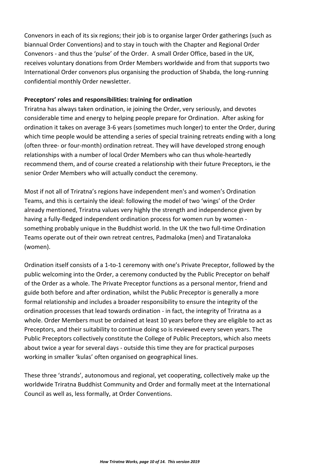Convenors in each of its six regions; their job is to organise larger Order gatherings (such as biannual Order Conventions) and to stay in touch with the Chapter and Regional Order Convenors - and thus the 'pulse' of the Order. A small Order Office, based in the UK, receives voluntary donations from Order Members worldwide and from that supports two International Order convenors plus organising the production of Shabda, the long-running confidential monthly Order newsletter.

#### <span id="page-9-0"></span>**Preceptors' roles and responsibilities: training for ordination**

Triratna has always taken ordination, ie joining the Order, very seriously, and devotes considerable time and energy to helping people prepare for Ordination. After asking for ordination it takes on average 3-6 years (sometimes much longer) to enter the Order, during which time people would be attending a series of special training retreats ending with a long (often three- or four-month) ordination retreat. They will have developed strong enough relationships with a number of local Order Members who can thus whole-heartedly recommend them, and of course created a relationship with their future Preceptors, ie the senior Order Members who will actually conduct the ceremony.

Most if not all of Triratna's regions have independent men's and women's Ordination Teams, and this is certainly the ideal: following the model of two 'wings' of the Order already mentioned, Triratna values very highly the strength and independence given by having a fully-fledged independent ordination process for women run by women something probably unique in the Buddhist world. In the UK the two full-time Ordination Teams operate out of their own retreat centres, Padmaloka (men) and Tiratanaloka (women).

Ordination itself consists of a 1-to-1 ceremony with one's Private Preceptor, followed by the public welcoming into the Order, a ceremony conducted by the Public Preceptor on behalf of the Order as a whole. The Private Preceptor functions as a personal mentor, friend and guide both before and after ordination, whilst the Public Preceptor is generally a more formal relationship and includes a broader responsibility to ensure the integrity of the ordination processes that lead towards ordination - in fact, the integrity of Triratna as a whole. Order Members must be ordained at least 10 years before they are eligible to act as Preceptors, and their suitability to continue doing so is reviewed every seven years. The Public Preceptors collectively constitute the College of Public Preceptors, which also meets about twice a year for several days - outside this time they are for practical purposes working in smaller 'kulas' often organised on geographical lines.

These three 'strands', autonomous and regional, yet cooperating, collectively make up the worldwide Triratna Buddhist Community and Order and formally meet at the International Council as well as, less formally, at Order Conventions.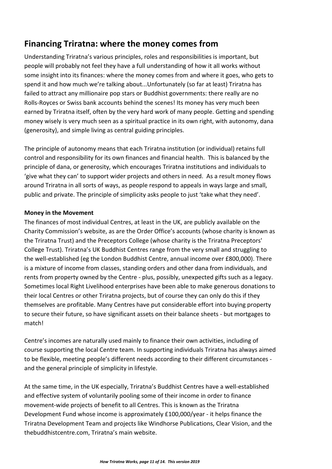## <span id="page-10-0"></span>**Financing Triratna: where the money comes from**

Understanding Triratna's various principles, roles and responsibilities is important, but people will probably not feel they have a full understanding of how it all works without some insight into its finances: where the money comes from and where it goes, who gets to spend it and how much we're talking about...Unfortunately (so far at least) Triratna has failed to attract any millionaire pop stars or Buddhist governments: there really are no Rolls-Royces or Swiss bank accounts behind the scenes! Its money has very much been earned by Triratna itself, often by the very hard work of many people. Getting and spending money wisely is very much seen as a spiritual practice in its own right, with autonomy, dana (generosity), and simple living as central guiding principles.

The principle of autonomy means that each Triratna institution (or individual) retains full control and responsibility for its own finances and financial health. This is balanced by the principle of dana, or generosity, which encourages Triratna institutions and individuals to 'give what they can' to support wider projects and others in need. As a result money flows around Triratna in all sorts of ways, as people respond to appeals in ways large and small, public and private. The principle of simplicity asks people to just 'take what they need'.

#### <span id="page-10-1"></span>**Money in the Movement**

The finances of most individual Centres, at least in the UK, are publicly available on the Charity Commission's website, as are the Order Office's accounts (whose charity is known as the Triratna Trust) and the Preceptors College (whose charity is the Triratna Preceptors' College Trust). Triratna's UK Buddhist Centres range from the very small and struggling to the well-established (eg the London Buddhist Centre, annual income over £800,000). There is a mixture of income from classes, standing orders and other dana from individuals, and rents from property owned by the Centre - plus, possibly, unexpected gifts such as a legacy. Sometimes local Right Livelihood enterprises have been able to make generous donations to their local Centres or other Triratna projects, but of course they can only do this if they themselves are profitable. Many Centres have put considerable effort into buying property to secure their future, so have significant assets on their balance sheets - but mortgages to match!

Centre's incomes are naturally used mainly to finance their own activities, including of course supporting the local Centre team. In supporting individuals Triratna has always aimed to be flexible, meeting people's different needs according to their different circumstances and the general principle of simplicity in lifestyle.

At the same time, in the UK especially, Triratna's Buddhist Centres have a well-established and effective system of voluntarily pooling some of their income in order to finance movement-wide projects of benefit to all Centres. This is known as the Triratna Development Fund whose income is approximately £100,000/year - it helps finance the Triratna Development Team and projects like Windhorse Publications, Clear Vision, and the thebuddhistcentre.com, Triratna's main website.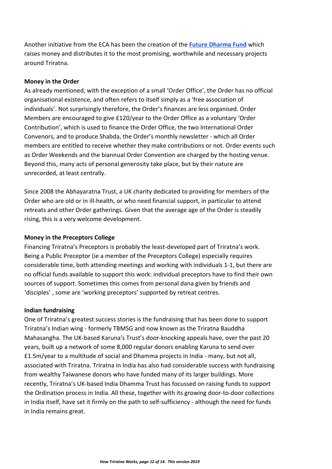Another initiative from the ECA has been the creation of the **[Future Dharma Fund](https://futuredharma.org/)** which raises money and distributes it to the most promising, worthwhile and necessary projects around Triratna.

#### <span id="page-11-0"></span>**Money in the Order**

As already mentioned, with the exception of a small 'Order Office', the Order has no official organisational existence, and often refers to itself simply as a 'free association of individuals'. Not surprisingly therefore, the Order's finances are less organised. Order Members are encouraged to give £120/year to the Order Office as a voluntary 'Order Contribution', which is used to finance the Order Office, the two International Order Convenors, and to produce Shabda, the Order's monthly newsletter - which all Order members are entitled to receive whether they make contributions or not. Order events such as Order Weekends and the biannual Order Convention are charged by the hosting venue. Beyond this, many acts of personal generosity take place, but by their nature are unrecorded, at least centrally.

Since 2008 the Abhayaratna Trust, a UK charity dedicated to providing for members of the Order who are old or in ill-health, or who need financial support, in particular to attend retreats and other Order gatherings. Given that the average age of the Order is steadily rising, this is a very welcome development.

#### <span id="page-11-1"></span>**Money in the Preceptors College**

Financing Triratna's Preceptors is probably the least-developed part of Triratna's work. Being a Public Preceptor (ie a member of the Preceptors College) especially requires considerable time, both attending meetings and working with individuals 1-1, but there are no official funds available to support this work: individual preceptors have to find their own sources of support. Sometimes this comes from personal dana given by friends and 'disciples' , some are 'working preceptors' supported by retreat centres.

#### <span id="page-11-2"></span>**Indian fundraising**

One of Triratna's greatest success stories is the fundraising that has been done to support Triratna's Indian wing - formerly TBMSG and now known as the Triratna Bauddha Mahasangha. The UK-based Karuna's Trust's door-knocking appeals have, over the past 20 years, built up a network of some 8,000 regular donors enabling Karuna to send over £1.5m/year to a multitude of social and Dhamma projects in India - many, but not all, associated with Triratna. Triratna in India has also had considerable success with fundraising from wealthy Taiwanese donors who have funded many of its larger buildings. More recently, Triratna's UK-based India Dhamma Trust has focussed on raising funds to support the Ordination process in India. All these, together with its growing door-to-door collections in India itself, have set it firmly on the path to self-sufficiency - although the need for funds in India remains great.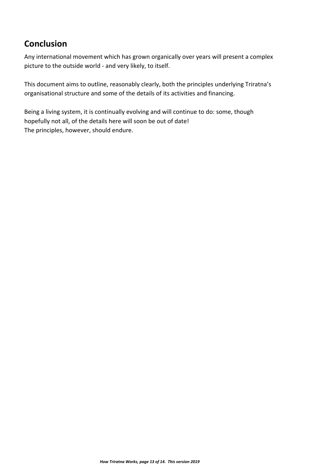## <span id="page-12-0"></span>**Conclusion**

Any international movement which has grown organically over years will present a complex picture to the outside world - and very likely, to itself.

This document aims to outline, reasonably clearly, both the principles underlying Triratna's organisational structure and some of the details of its activities and financing.

Being a living system, it is continually evolving and will continue to do: some, though hopefully not all, of the details here will soon be out of date! The principles, however, should endure.